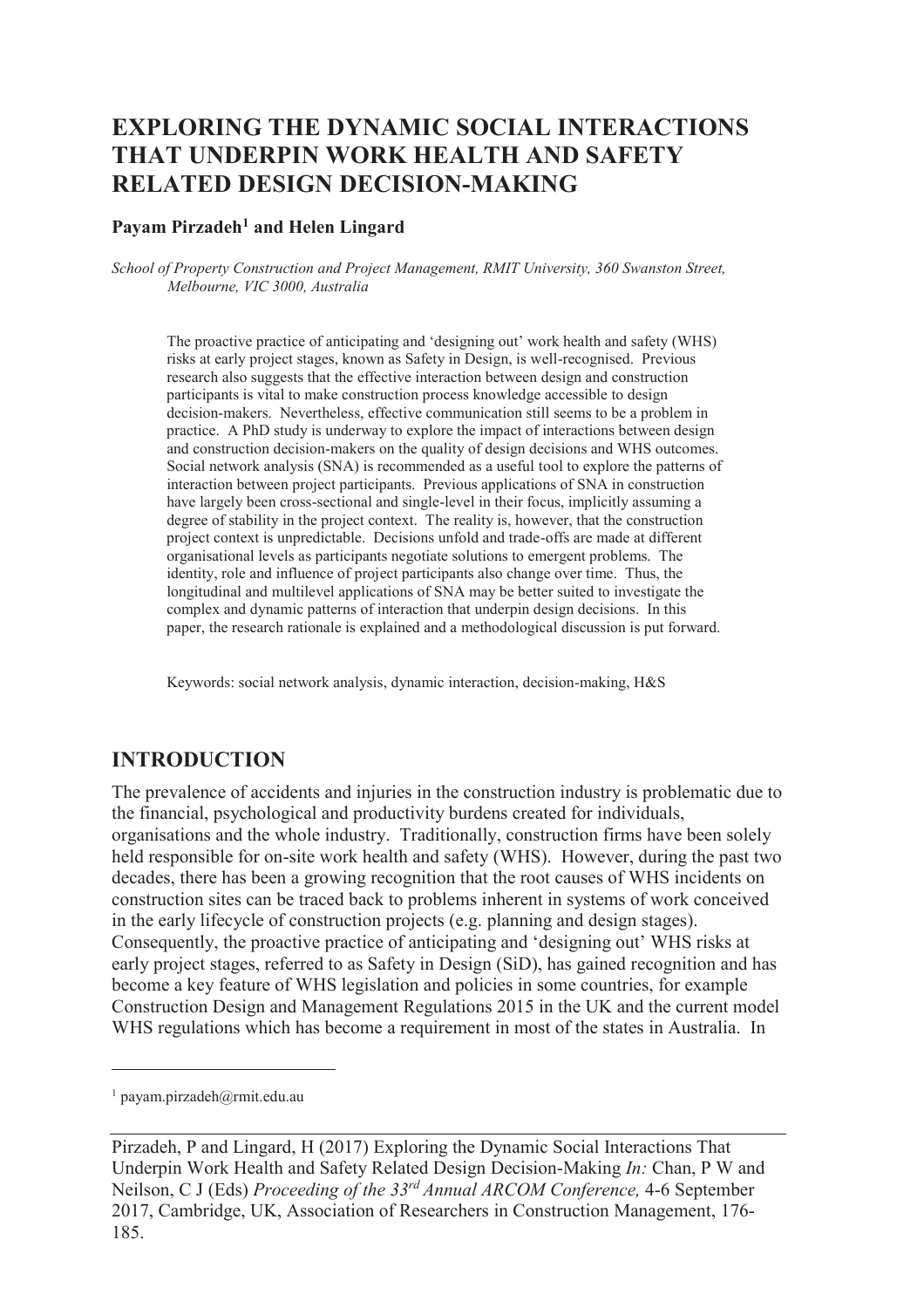# **EXPLORING THE DYNAMIC SOCIAL INTERACTIONS THAT UNDERPIN WORK HEALTH AND SAFETY RELATED DESIGN DECISION-MAKING**

#### **Payam Pirzadeh<sup>1</sup> and Helen Lingard**

*School of Property Construction and Project Management, RMIT University, 360 Swanston Street, Melbourne, VIC 3000, Australia* 

The proactive practice of anticipating and 'designing out' work health and safety (WHS) risks at early project stages, known as Safety in Design, is well-recognised. Previous research also suggests that the effective interaction between design and construction participants is vital to make construction process knowledge accessible to design decision-makers. Nevertheless, effective communication still seems to be a problem in practice. A PhD study is underway to explore the impact of interactions between design and construction decision-makers on the quality of design decisions and WHS outcomes. Social network analysis (SNA) is recommended as a useful tool to explore the patterns of interaction between project participants. Previous applications of SNA in construction have largely been cross-sectional and single-level in their focus, implicitly assuming a degree of stability in the project context. The reality is, however, that the construction project context is unpredictable. Decisions unfold and trade-offs are made at different organisational levels as participants negotiate solutions to emergent problems. The identity, role and influence of project participants also change over time. Thus, the longitudinal and multilevel applications of SNA may be better suited to investigate the complex and dynamic patterns of interaction that underpin design decisions. In this paper, the research rationale is explained and a methodological discussion is put forward.

Keywords: social network analysis, dynamic interaction, decision-making, H&S

#### **INTRODUCTION**

The prevalence of accidents and injuries in the construction industry is problematic due to the financial, psychological and productivity burdens created for individuals, organisations and the whole industry. Traditionally, construction firms have been solely held responsible for on-site work health and safety (WHS). However, during the past two decades, there has been a growing recognition that the root causes of WHS incidents on construction sites can be traced back to problems inherent in systems of work conceived in the early lifecycle of construction projects (e.g. planning and design stages). Consequently, the proactive practice of anticipating and 'designing out' WHS risks at early project stages, referred to as Safety in Design (SiD), has gained recognition and has become a key feature of WHS legislation and policies in some countries, for example Construction Design and Management Regulations 2015 in the UK and the current model WHS regulations which has become a requirement in most of the states in Australia. In

 $\overline{a}$ 

<sup>1</sup> payam.pirzadeh@rmit.edu.au

Pirzadeh, P and Lingard, H (2017) Exploring the Dynamic Social Interactions That Underpin Work Health and Safety Related Design Decision-Making *In:* Chan, P W and Neilson, C J (Eds) *Proceeding of the 33rd Annual ARCOM Conference,* 4-6 September 2017, Cambridge, UK, Association of Researchers in Construction Management, 176- 185.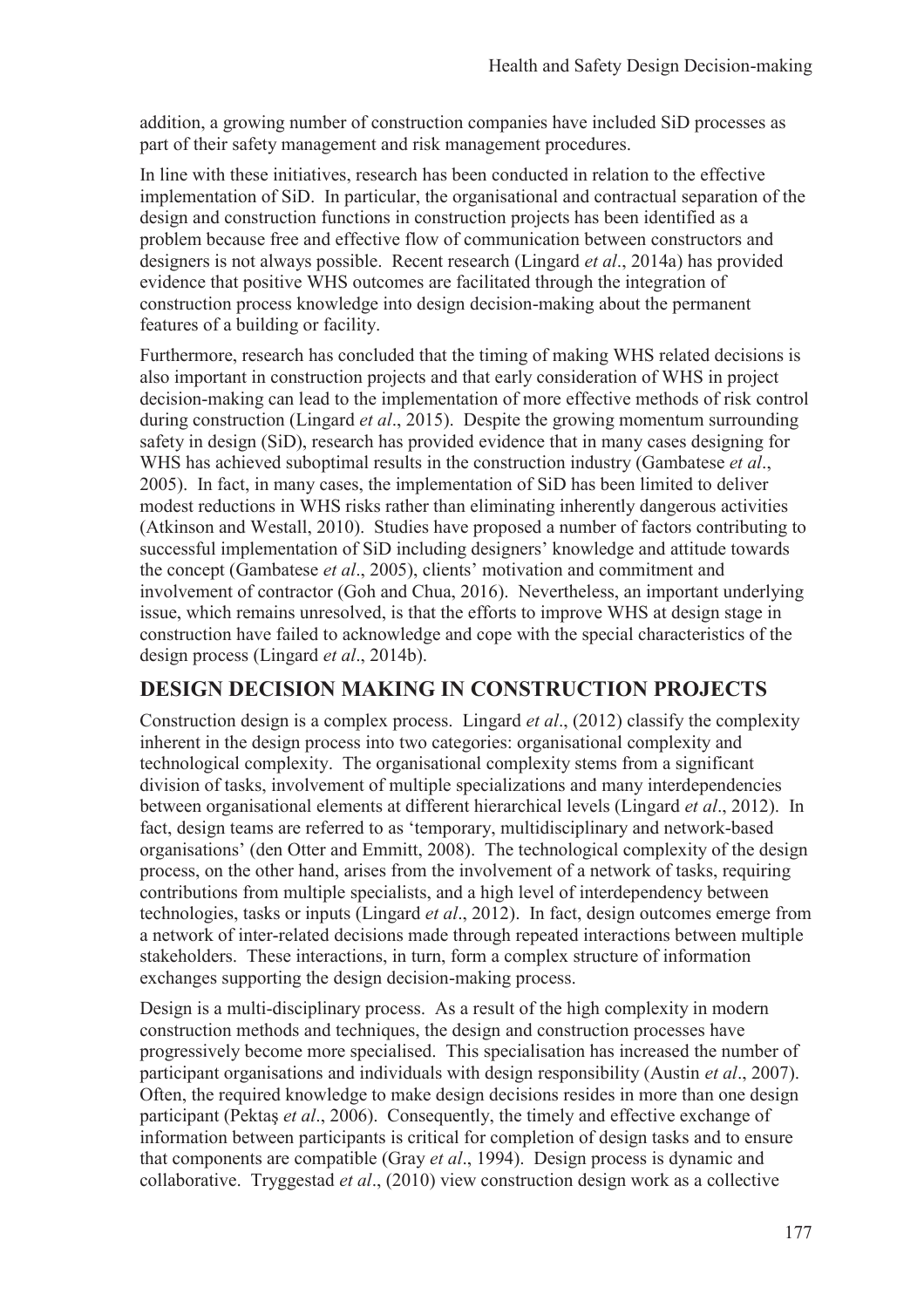addition, a growing number of construction companies have included SiD processes as part of their safety management and risk management procedures.

In line with these initiatives, research has been conducted in relation to the effective implementation of SiD. In particular, the organisational and contractual separation of the design and construction functions in construction projects has been identified as a problem because free and effective flow of communication between constructors and designers is not always possible. Recent research (Lingard *et al*., 2014a) has provided evidence that positive WHS outcomes are facilitated through the integration of construction process knowledge into design decision-making about the permanent features of a building or facility.

Furthermore, research has concluded that the timing of making WHS related decisions is also important in construction projects and that early consideration of WHS in project decision-making can lead to the implementation of more effective methods of risk control during construction (Lingard *et al*., 2015). Despite the growing momentum surrounding safety in design (SiD), research has provided evidence that in many cases designing for WHS has achieved suboptimal results in the construction industry (Gambatese *et al*., 2005). In fact, in many cases, the implementation of SiD has been limited to deliver modest reductions in WHS risks rather than eliminating inherently dangerous activities (Atkinson and Westall, 2010). Studies have proposed a number of factors contributing to successful implementation of SiD including designers' knowledge and attitude towards the concept (Gambatese *et al*., 2005), clients' motivation and commitment and involvement of contractor (Goh and Chua, 2016). Nevertheless, an important underlying issue, which remains unresolved, is that the efforts to improve WHS at design stage in construction have failed to acknowledge and cope with the special characteristics of the design process (Lingard *et al*., 2014b).

### **DESIGN DECISION MAKING IN CONSTRUCTION PROJECTS**

Construction design is a complex process. Lingard *et al*., (2012) classify the complexity inherent in the design process into two categories: organisational complexity and technological complexity. The organisational complexity stems from a significant division of tasks, involvement of multiple specializations and many interdependencies between organisational elements at different hierarchical levels (Lingard *et al*., 2012). In fact, design teams are referred to as 'temporary, multidisciplinary and network-based organisations' (den Otter and Emmitt, 2008). The technological complexity of the design process, on the other hand, arises from the involvement of a network of tasks, requiring contributions from multiple specialists, and a high level of interdependency between technologies, tasks or inputs (Lingard *et al*., 2012). In fact, design outcomes emerge from a network of inter-related decisions made through repeated interactions between multiple stakeholders. These interactions, in turn, form a complex structure of information exchanges supporting the design decision-making process.

Design is a multi-disciplinary process. As a result of the high complexity in modern construction methods and techniques, the design and construction processes have progressively become more specialised. This specialisation has increased the number of participant organisations and individuals with design responsibility (Austin *et al*., 2007). Often, the required knowledge to make design decisions resides in more than one design participant (Pektaş *et al*., 2006). Consequently, the timely and effective exchange of information between participants is critical for completion of design tasks and to ensure that components are compatible (Gray *et al*., 1994). Design process is dynamic and collaborative. Tryggestad *et al*., (2010) view construction design work as a collective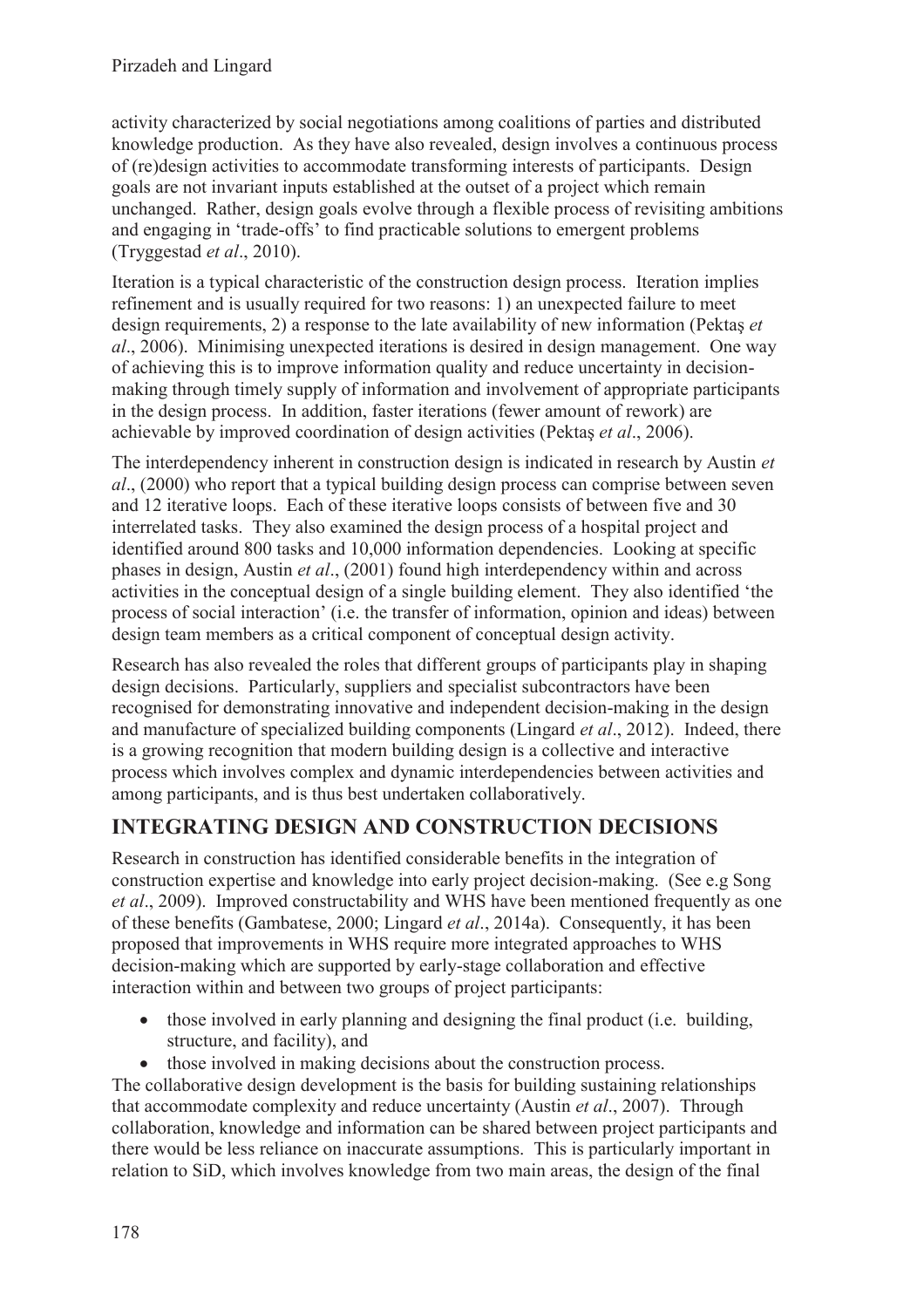activity characterized by social negotiations among coalitions of parties and distributed knowledge production. As they have also revealed, design involves a continuous process of (re)design activities to accommodate transforming interests of participants. Design goals are not invariant inputs established at the outset of a project which remain unchanged. Rather, design goals evolve through a flexible process of revisiting ambitions and engaging in 'trade-offs' to find practicable solutions to emergent problems (Tryggestad *et al*., 2010).

Iteration is a typical characteristic of the construction design process. Iteration implies refinement and is usually required for two reasons: 1) an unexpected failure to meet design requirements, 2) a response to the late availability of new information (Pektaş *et al*., 2006). Minimising unexpected iterations is desired in design management. One way of achieving this is to improve information quality and reduce uncertainty in decisionmaking through timely supply of information and involvement of appropriate participants in the design process. In addition, faster iterations (fewer amount of rework) are achievable by improved coordination of design activities (Pektaş *et al*., 2006).

The interdependency inherent in construction design is indicated in research by Austin *et al*., (2000) who report that a typical building design process can comprise between seven and 12 iterative loops. Each of these iterative loops consists of between five and 30 interrelated tasks. They also examined the design process of a hospital project and identified around 800 tasks and 10,000 information dependencies. Looking at specific phases in design, Austin *et al*., (2001) found high interdependency within and across activities in the conceptual design of a single building element. They also identified 'the process of social interaction' (i.e. the transfer of information, opinion and ideas) between design team members as a critical component of conceptual design activity.

Research has also revealed the roles that different groups of participants play in shaping design decisions. Particularly, suppliers and specialist subcontractors have been recognised for demonstrating innovative and independent decision-making in the design and manufacture of specialized building components (Lingard *et al*., 2012). Indeed, there is a growing recognition that modern building design is a collective and interactive process which involves complex and dynamic interdependencies between activities and among participants, and is thus best undertaken collaboratively.

## **INTEGRATING DESIGN AND CONSTRUCTION DECISIONS**

Research in construction has identified considerable benefits in the integration of construction expertise and knowledge into early project decision-making. (See e.g Song *et al*., 2009). Improved constructability and WHS have been mentioned frequently as one of these benefits (Gambatese, 2000; Lingard *et al*., 2014a). Consequently, it has been proposed that improvements in WHS require more integrated approaches to WHS decision-making which are supported by early-stage collaboration and effective interaction within and between two groups of project participants:

- those involved in early planning and designing the final product (i.e. building, structure, and facility), and
- those involved in making decisions about the construction process.

The collaborative design development is the basis for building sustaining relationships that accommodate complexity and reduce uncertainty (Austin *et al*., 2007). Through collaboration, knowledge and information can be shared between project participants and there would be less reliance on inaccurate assumptions. This is particularly important in relation to SiD, which involves knowledge from two main areas, the design of the final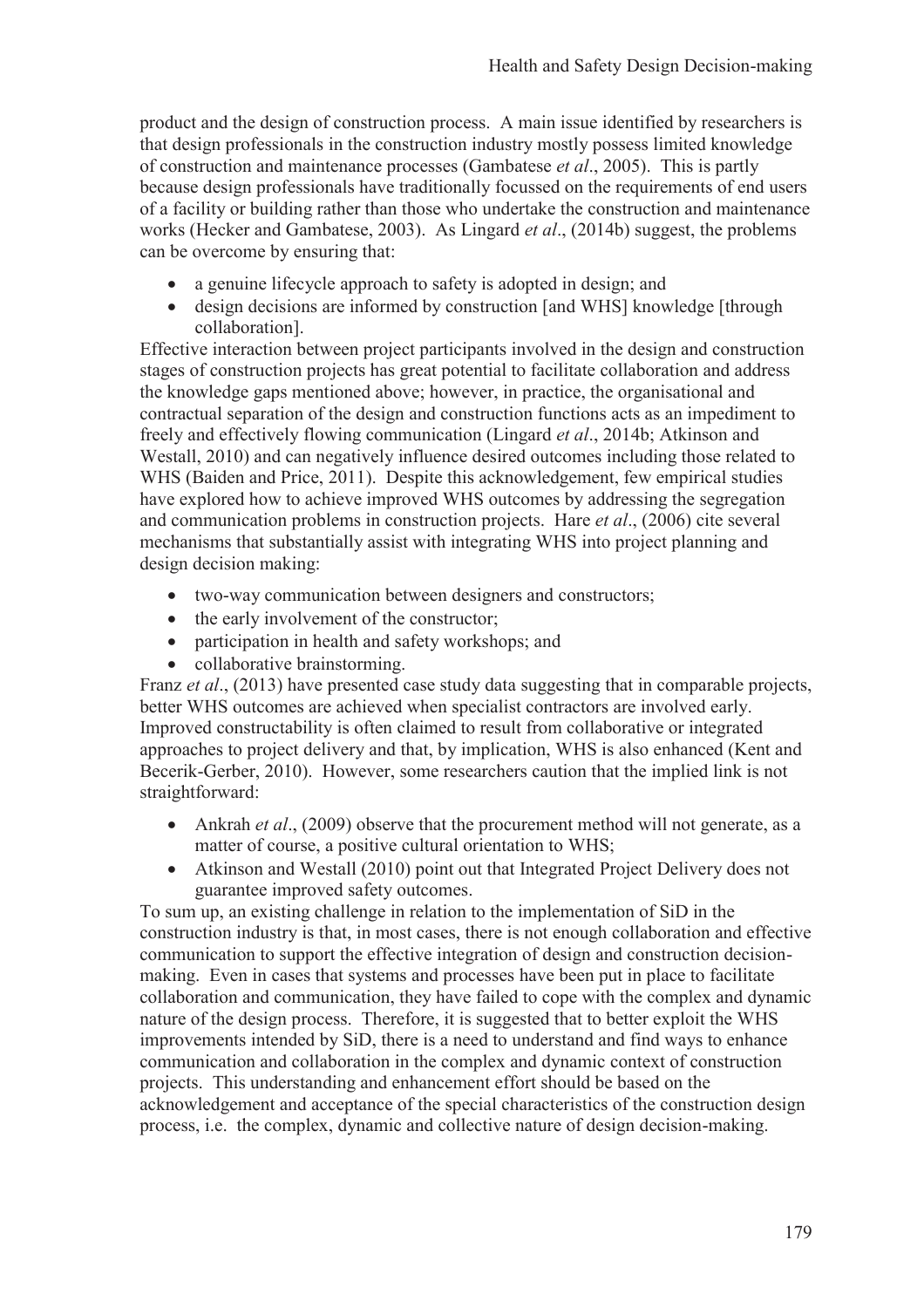product and the design of construction process. A main issue identified by researchers is that design professionals in the construction industry mostly possess limited knowledge of construction and maintenance processes (Gambatese *et al*., 2005). This is partly because design professionals have traditionally focussed on the requirements of end users of a facility or building rather than those who undertake the construction and maintenance works (Hecker and Gambatese, 2003). As Lingard *et al*., (2014b) suggest, the problems can be overcome by ensuring that:

- a genuine lifecycle approach to safety is adopted in design; and
- design decisions are informed by construction [and WHS] knowledge [through] collaboration].

Effective interaction between project participants involved in the design and construction stages of construction projects has great potential to facilitate collaboration and address the knowledge gaps mentioned above; however, in practice, the organisational and contractual separation of the design and construction functions acts as an impediment to freely and effectively flowing communication (Lingard *et al*., 2014b; Atkinson and Westall, 2010) and can negatively influence desired outcomes including those related to WHS (Baiden and Price, 2011). Despite this acknowledgement, few empirical studies have explored how to achieve improved WHS outcomes by addressing the segregation and communication problems in construction projects. Hare *et al*., (2006) cite several mechanisms that substantially assist with integrating WHS into project planning and design decision making:

- · two-way communication between designers and constructors;
- the early involvement of the constructor;
- participation in health and safety workshops; and
- collaborative brainstorming.

Franz *et al.*, (2013) have presented case study data suggesting that in comparable projects, better WHS outcomes are achieved when specialist contractors are involved early. Improved constructability is often claimed to result from collaborative or integrated approaches to project delivery and that, by implication, WHS is also enhanced (Kent and Becerik-Gerber, 2010). However, some researchers caution that the implied link is not straightforward:

- Ankrah *et al.*, (2009) observe that the procurement method will not generate, as a matter of course, a positive cultural orientation to WHS;
- Atkinson and Westall (2010) point out that Integrated Project Delivery does not guarantee improved safety outcomes.

To sum up, an existing challenge in relation to the implementation of SiD in the construction industry is that, in most cases, there is not enough collaboration and effective communication to support the effective integration of design and construction decisionmaking. Even in cases that systems and processes have been put in place to facilitate collaboration and communication, they have failed to cope with the complex and dynamic nature of the design process. Therefore, it is suggested that to better exploit the WHS improvements intended by SiD, there is a need to understand and find ways to enhance communication and collaboration in the complex and dynamic context of construction projects. This understanding and enhancement effort should be based on the acknowledgement and acceptance of the special characteristics of the construction design process, i.e. the complex, dynamic and collective nature of design decision-making.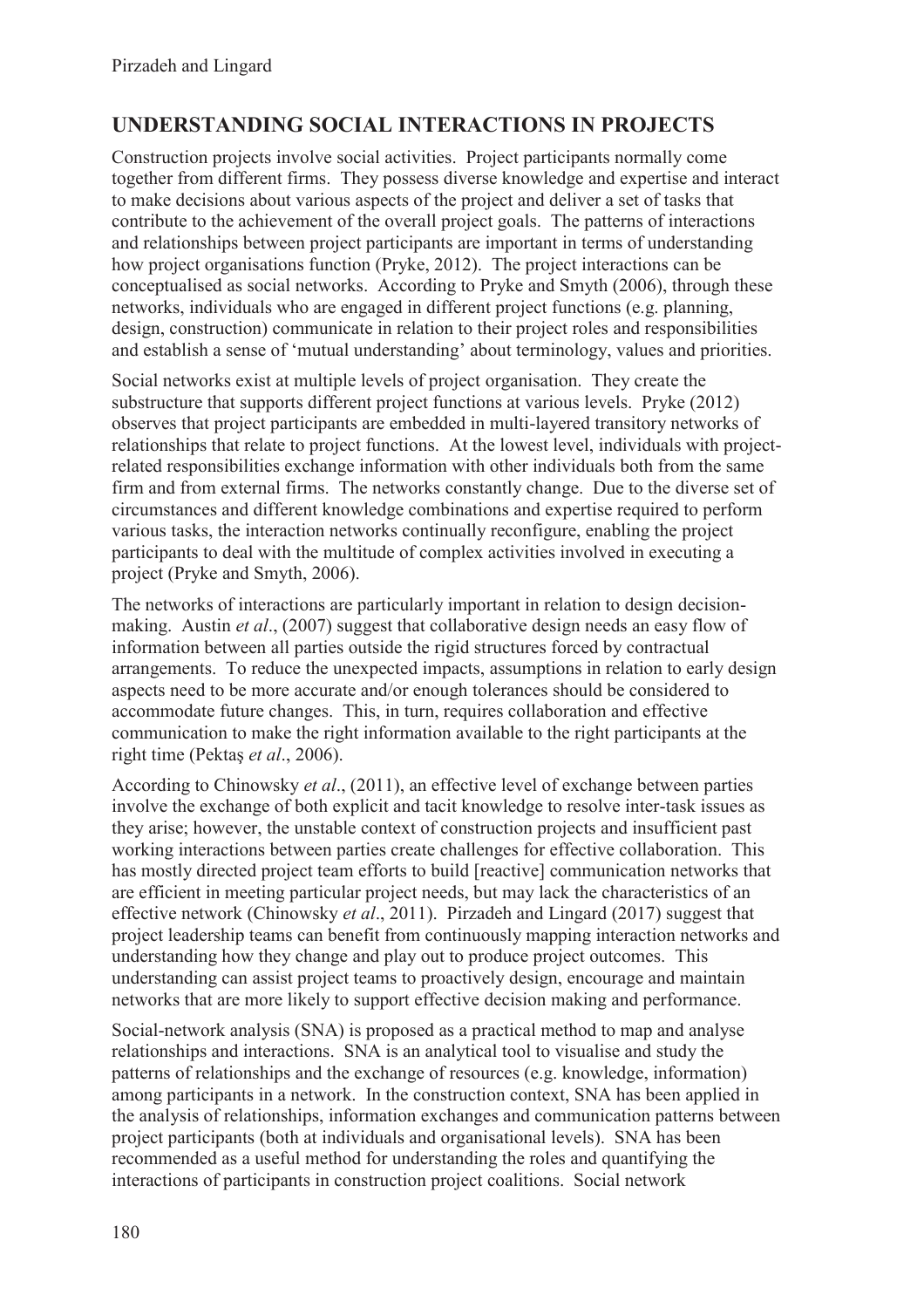## **UNDERSTANDING SOCIAL INTERACTIONS IN PROJECTS**

Construction projects involve social activities. Project participants normally come together from different firms. They possess diverse knowledge and expertise and interact to make decisions about various aspects of the project and deliver a set of tasks that contribute to the achievement of the overall project goals. The patterns of interactions and relationships between project participants are important in terms of understanding how project organisations function (Pryke, 2012). The project interactions can be conceptualised as social networks. According to Pryke and Smyth (2006), through these networks, individuals who are engaged in different project functions (e.g. planning, design, construction) communicate in relation to their project roles and responsibilities and establish a sense of 'mutual understanding' about terminology, values and priorities.

Social networks exist at multiple levels of project organisation. They create the substructure that supports different project functions at various levels. Pryke (2012) observes that project participants are embedded in multi-layered transitory networks of relationships that relate to project functions. At the lowest level, individuals with projectrelated responsibilities exchange information with other individuals both from the same firm and from external firms. The networks constantly change. Due to the diverse set of circumstances and different knowledge combinations and expertise required to perform various tasks, the interaction networks continually reconfigure, enabling the project participants to deal with the multitude of complex activities involved in executing a project (Pryke and Smyth, 2006).

The networks of interactions are particularly important in relation to design decisionmaking. Austin *et al*., (2007) suggest that collaborative design needs an easy flow of information between all parties outside the rigid structures forced by contractual arrangements. To reduce the unexpected impacts, assumptions in relation to early design aspects need to be more accurate and/or enough tolerances should be considered to accommodate future changes. This, in turn, requires collaboration and effective communication to make the right information available to the right participants at the right time (Pektaş *et al*., 2006).

According to Chinowsky *et al*., (2011), an effective level of exchange between parties involve the exchange of both explicit and tacit knowledge to resolve inter-task issues as they arise; however, the unstable context of construction projects and insufficient past working interactions between parties create challenges for effective collaboration. This has mostly directed project team efforts to build [reactive] communication networks that are efficient in meeting particular project needs, but may lack the characteristics of an effective network (Chinowsky *et al*., 2011). Pirzadeh and Lingard (2017) suggest that project leadership teams can benefit from continuously mapping interaction networks and understanding how they change and play out to produce project outcomes. This understanding can assist project teams to proactively design, encourage and maintain networks that are more likely to support effective decision making and performance.

Social-network analysis (SNA) is proposed as a practical method to map and analyse relationships and interactions. SNA is an analytical tool to visualise and study the patterns of relationships and the exchange of resources (e.g. knowledge, information) among participants in a network. In the construction context, SNA has been applied in the analysis of relationships, information exchanges and communication patterns between project participants (both at individuals and organisational levels). SNA has been recommended as a useful method for understanding the roles and quantifying the interactions of participants in construction project coalitions. Social network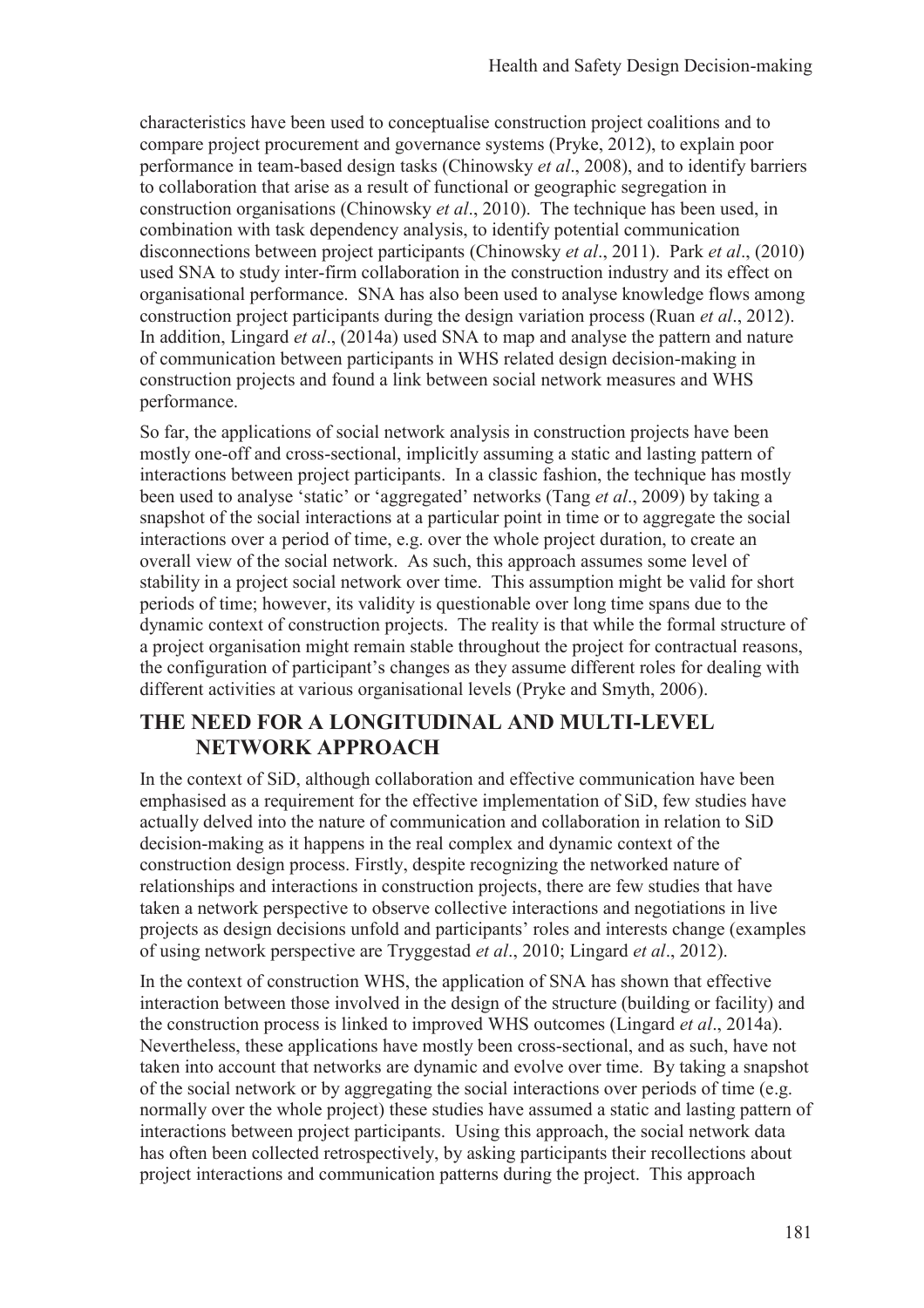characteristics have been used to conceptualise construction project coalitions and to compare project procurement and governance systems (Pryke, 2012), to explain poor performance in team-based design tasks (Chinowsky *et al*., 2008), and to identify barriers to collaboration that arise as a result of functional or geographic segregation in construction organisations (Chinowsky *et al*., 2010). The technique has been used, in combination with task dependency analysis, to identify potential communication disconnections between project participants (Chinowsky *et al*., 2011). Park *et al*., (2010) used SNA to study inter-firm collaboration in the construction industry and its effect on organisational performance. SNA has also been used to analyse knowledge flows among construction project participants during the design variation process (Ruan *et al*., 2012). In addition, Lingard *et al*., (2014a) used SNA to map and analyse the pattern and nature of communication between participants in WHS related design decision-making in construction projects and found a link between social network measures and WHS performance.

So far, the applications of social network analysis in construction projects have been mostly one-off and cross-sectional, implicitly assuming a static and lasting pattern of interactions between project participants. In a classic fashion, the technique has mostly been used to analyse 'static' or 'aggregated' networks (Tang *et al*., 2009) by taking a snapshot of the social interactions at a particular point in time or to aggregate the social interactions over a period of time, e.g. over the whole project duration, to create an overall view of the social network. As such, this approach assumes some level of stability in a project social network over time. This assumption might be valid for short periods of time; however, its validity is questionable over long time spans due to the dynamic context of construction projects. The reality is that while the formal structure of a project organisation might remain stable throughout the project for contractual reasons, the configuration of participant's changes as they assume different roles for dealing with different activities at various organisational levels (Pryke and Smyth, 2006).

## **THE NEED FOR A LONGITUDINAL AND MULTI-LEVEL NETWORK APPROACH**

In the context of SiD, although collaboration and effective communication have been emphasised as a requirement for the effective implementation of SiD, few studies have actually delved into the nature of communication and collaboration in relation to SiD decision-making as it happens in the real complex and dynamic context of the construction design process. Firstly, despite recognizing the networked nature of relationships and interactions in construction projects, there are few studies that have taken a network perspective to observe collective interactions and negotiations in live projects as design decisions unfold and participants' roles and interests change (examples of using network perspective are Tryggestad *et al*., 2010; Lingard *et al*., 2012).

In the context of construction WHS, the application of SNA has shown that effective interaction between those involved in the design of the structure (building or facility) and the construction process is linked to improved WHS outcomes (Lingard *et al*., 2014a). Nevertheless, these applications have mostly been cross-sectional, and as such, have not taken into account that networks are dynamic and evolve over time. By taking a snapshot of the social network or by aggregating the social interactions over periods of time (e.g. normally over the whole project) these studies have assumed a static and lasting pattern of interactions between project participants. Using this approach, the social network data has often been collected retrospectively, by asking participants their recollections about project interactions and communication patterns during the project. This approach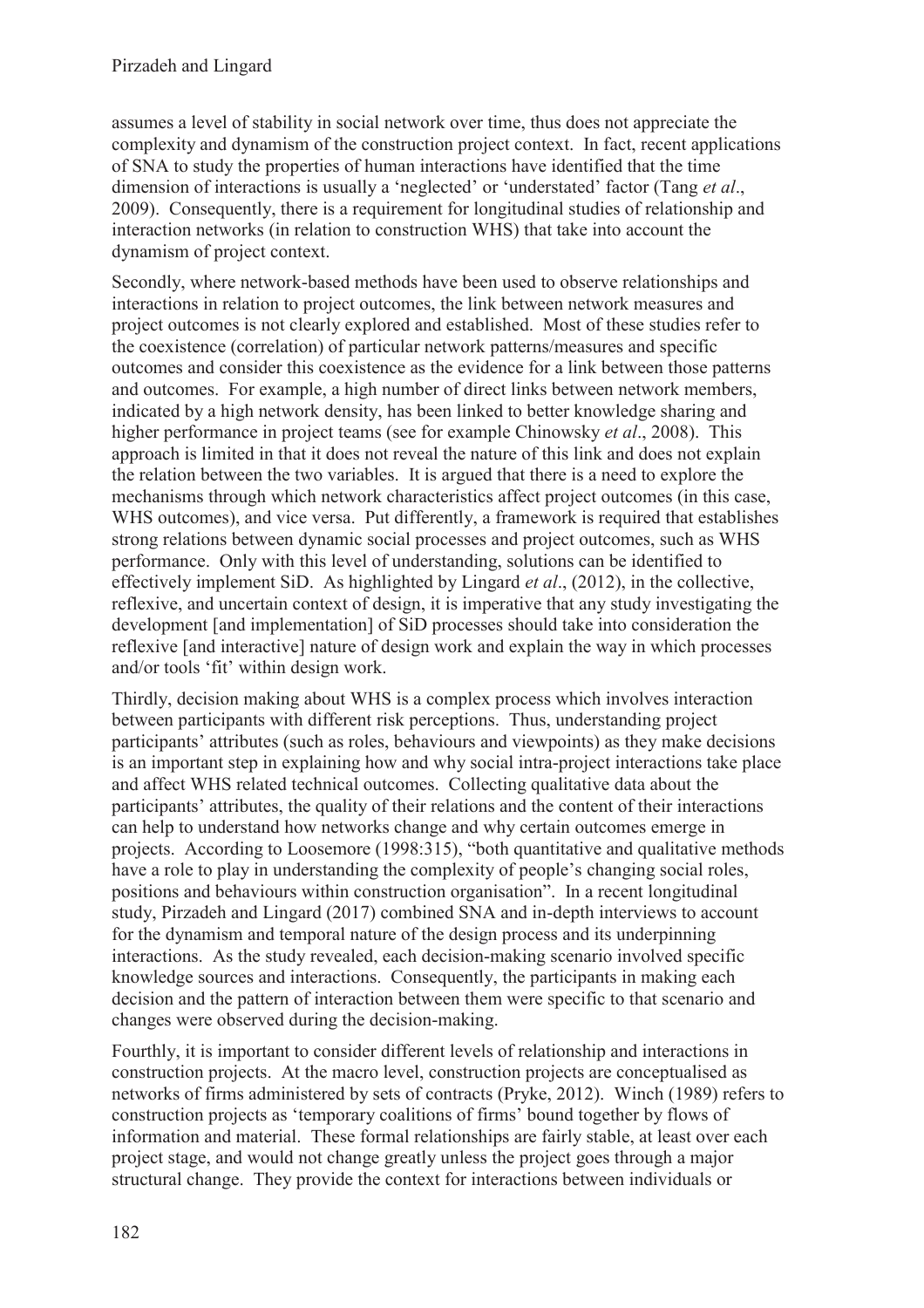assumes a level of stability in social network over time, thus does not appreciate the complexity and dynamism of the construction project context. In fact, recent applications of SNA to study the properties of human interactions have identified that the time dimension of interactions is usually a 'neglected' or 'understated' factor (Tang *et al*., 2009). Consequently, there is a requirement for longitudinal studies of relationship and interaction networks (in relation to construction WHS) that take into account the dynamism of project context.

Secondly, where network-based methods have been used to observe relationships and interactions in relation to project outcomes, the link between network measures and project outcomes is not clearly explored and established. Most of these studies refer to the coexistence (correlation) of particular network patterns/measures and specific outcomes and consider this coexistence as the evidence for a link between those patterns and outcomes. For example, a high number of direct links between network members, indicated by a high network density, has been linked to better knowledge sharing and higher performance in project teams (see for example Chinowsky *et al*., 2008). This approach is limited in that it does not reveal the nature of this link and does not explain the relation between the two variables. It is argued that there is a need to explore the mechanisms through which network characteristics affect project outcomes (in this case, WHS outcomes), and vice versa. Put differently, a framework is required that establishes strong relations between dynamic social processes and project outcomes, such as WHS performance. Only with this level of understanding, solutions can be identified to effectively implement SiD. As highlighted by Lingard *et al*., (2012), in the collective, reflexive, and uncertain context of design, it is imperative that any study investigating the development [and implementation] of SiD processes should take into consideration the reflexive [and interactive] nature of design work and explain the way in which processes and/or tools 'fit' within design work.

Thirdly, decision making about WHS is a complex process which involves interaction between participants with different risk perceptions. Thus, understanding project participants' attributes (such as roles, behaviours and viewpoints) as they make decisions is an important step in explaining how and why social intra-project interactions take place and affect WHS related technical outcomes. Collecting qualitative data about the participants' attributes, the quality of their relations and the content of their interactions can help to understand how networks change and why certain outcomes emerge in projects. According to Loosemore (1998:315), "both quantitative and qualitative methods have a role to play in understanding the complexity of people's changing social roles, positions and behaviours within construction organisation". In a recent longitudinal study, Pirzadeh and Lingard (2017) combined SNA and in-depth interviews to account for the dynamism and temporal nature of the design process and its underpinning interactions. As the study revealed, each decision-making scenario involved specific knowledge sources and interactions. Consequently, the participants in making each decision and the pattern of interaction between them were specific to that scenario and changes were observed during the decision-making.

Fourthly, it is important to consider different levels of relationship and interactions in construction projects. At the macro level, construction projects are conceptualised as networks of firms administered by sets of contracts (Pryke, 2012). Winch (1989) refers to construction projects as 'temporary coalitions of firms' bound together by flows of information and material. These formal relationships are fairly stable, at least over each project stage, and would not change greatly unless the project goes through a major structural change. They provide the context for interactions between individuals or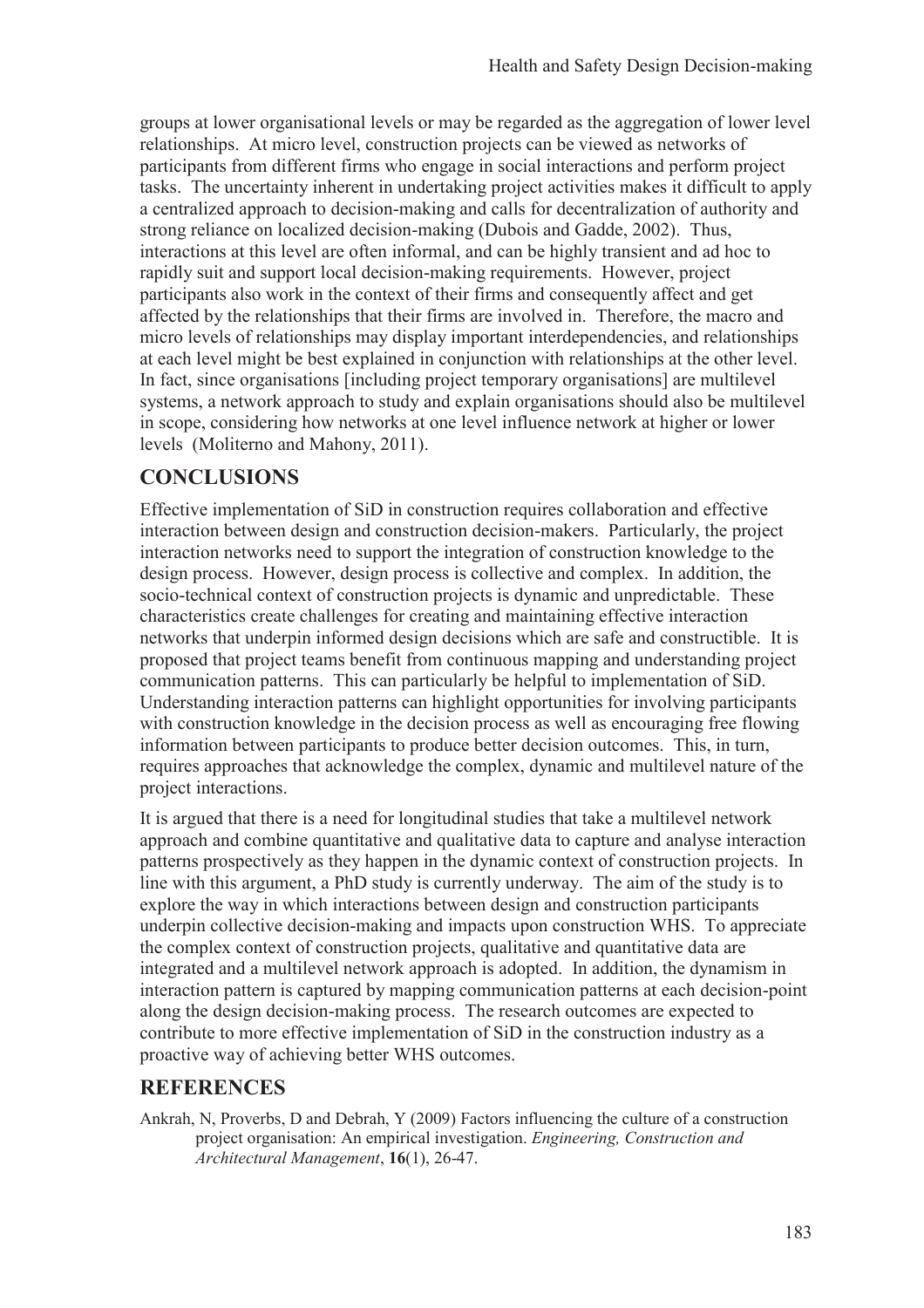groups at lower organisational levels or may be regarded as the aggregation of lower level relationships. At micro level, construction projects can be viewed as networks of participants from different firms who engage in social interactions and perform project tasks. The uncertainty inherent in undertaking project activities makes it difficult to apply a centralized approach to decision-making and calls for decentralization of authority and strong reliance on localized decision-making (Dubois and Gadde, 2002). Thus, interactions at this level are often informal, and can be highly transient and ad hoc to rapidly suit and support local decision-making requirements. However, project participants also work in the context of their firms and consequently affect and get affected by the relationships that their firms are involved in. Therefore, the macro and micro levels of relationships may display important interdependencies, and relationships at each level might be best explained in conjunction with relationships at the other level. In fact, since organisations [including project temporary organisations] are multilevel systems, a network approach to study and explain organisations should also be multilevel in scope, considering how networks at one level influence network at higher or lower levels (Moliterno and Mahony, 2011).

## **CONCLUSIONS**

Effective implementation of SiD in construction requires collaboration and effective interaction between design and construction decision-makers. Particularly, the project interaction networks need to support the integration of construction knowledge to the design process. However, design process is collective and complex. In addition, the socio-technical context of construction projects is dynamic and unpredictable. These characteristics create challenges for creating and maintaining effective interaction networks that underpin informed design decisions which are safe and constructible. It is proposed that project teams benefit from continuous mapping and understanding project communication patterns. This can particularly be helpful to implementation of SiD. Understanding interaction patterns can highlight opportunities for involving participants with construction knowledge in the decision process as well as encouraging free flowing information between participants to produce better decision outcomes. This, in turn, requires approaches that acknowledge the complex, dynamic and multilevel nature of the project interactions.

It is argued that there is a need for longitudinal studies that take a multilevel network approach and combine quantitative and qualitative data to capture and analyse interaction patterns prospectively as they happen in the dynamic context of construction projects. In line with this argument, a PhD study is currently underway. The aim of the study is to explore the way in which interactions between design and construction participants underpin collective decision-making and impacts upon construction WHS. To appreciate the complex context of construction projects, qualitative and quantitative data are integrated and a multilevel network approach is adopted. In addition, the dynamism in interaction pattern is captured by mapping communication patterns at each decision-point along the design decision-making process. The research outcomes are expected to contribute to more effective implementation of SiD in the construction industry as a proactive way of achieving better WHS outcomes.

### **REFERENCES**

Ankrah, N, Proverbs, D and Debrah, Y (2009) Factors influencing the culture of a construction project organisation: An empirical investigation. *Engineering, Construction and Architectural Management*, **16**(1), 26-47.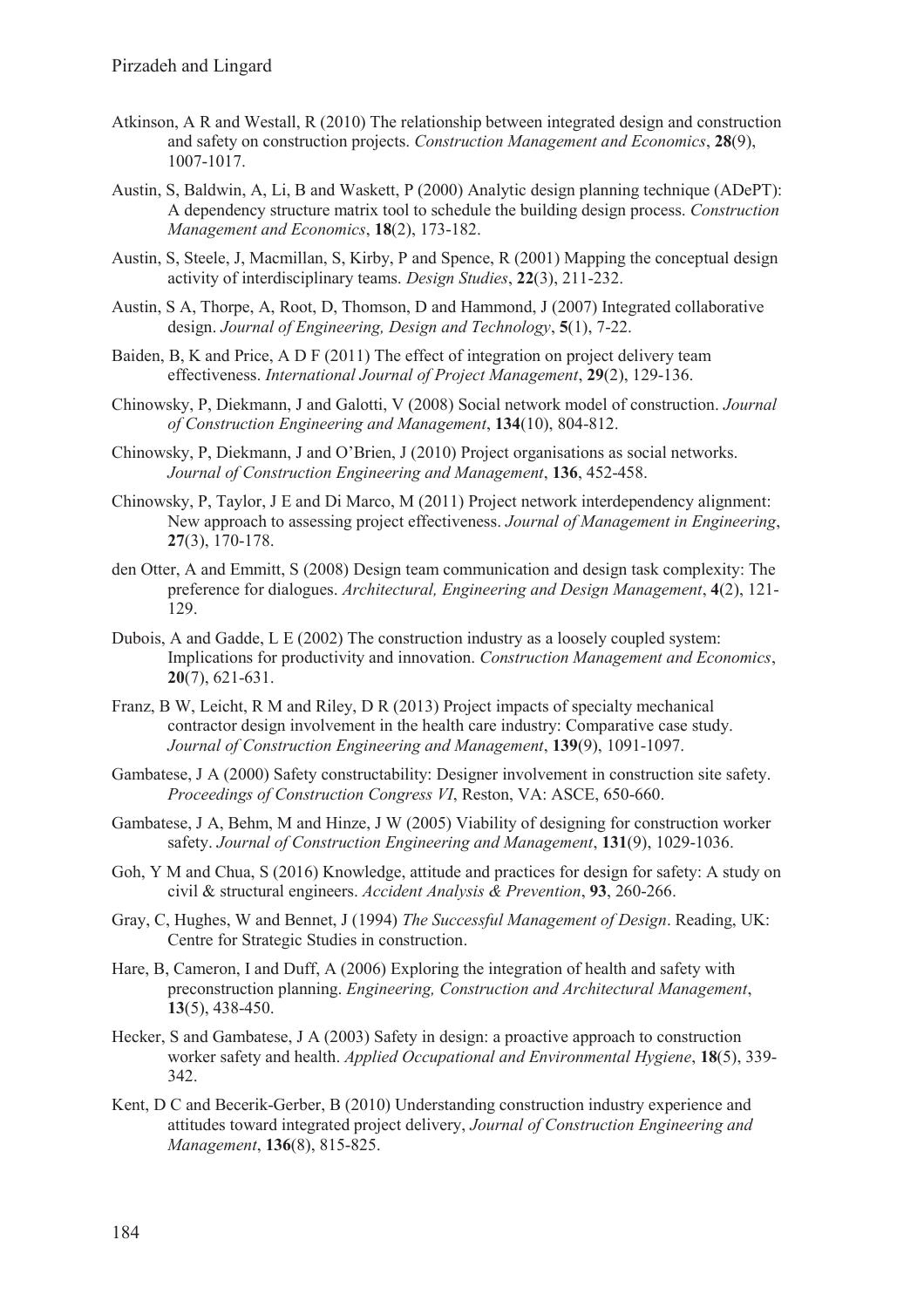- Atkinson, A R and Westall, R (2010) The relationship between integrated design and construction and safety on construction projects. *Construction Management and Economics*, **28**(9), 1007-1017.
- Austin, S, Baldwin, A, Li, B and Waskett, P (2000) Analytic design planning technique (ADePT): A dependency structure matrix tool to schedule the building design process. *Construction Management and Economics*, **18**(2), 173-182.
- Austin, S, Steele, J, Macmillan, S, Kirby, P and Spence, R (2001) Mapping the conceptual design activity of interdisciplinary teams. *Design Studies*, **22**(3), 211-232.
- Austin, S A, Thorpe, A, Root, D, Thomson, D and Hammond, J (2007) Integrated collaborative design. *Journal of Engineering, Design and Technology*, **5**(1), 7-22.
- Baiden, B, K and Price, A D F (2011) The effect of integration on project delivery team effectiveness. *International Journal of Project Management*, **29**(2), 129-136.
- Chinowsky, P, Diekmann, J and Galotti, V (2008) Social network model of construction. *Journal of Construction Engineering and Management*, **134**(10), 804-812.
- Chinowsky, P, Diekmann, J and O'Brien, J (2010) Project organisations as social networks. *Journal of Construction Engineering and Management*, **136**, 452-458.
- Chinowsky, P, Taylor, J E and Di Marco, M (2011) Project network interdependency alignment: New approach to assessing project effectiveness. *Journal of Management in Engineering*, **27**(3), 170-178.
- den Otter, A and Emmitt, S (2008) Design team communication and design task complexity: The preference for dialogues. *Architectural, Engineering and Design Management*, **4**(2), 121- 129.
- Dubois, A and Gadde, L E (2002) The construction industry as a loosely coupled system: Implications for productivity and innovation. *Construction Management and Economics*, **20**(7), 621-631.
- Franz, B W, Leicht, R M and Riley, D R (2013) Project impacts of specialty mechanical contractor design involvement in the health care industry: Comparative case study. *Journal of Construction Engineering and Management*, **139**(9), 1091-1097.
- Gambatese, J A (2000) Safety constructability: Designer involvement in construction site safety. *Proceedings of Construction Congress VI*, Reston, VA: ASCE, 650-660.
- Gambatese, J A, Behm, M and Hinze, J W (2005) Viability of designing for construction worker safety. *Journal of Construction Engineering and Management*, **131**(9), 1029-1036.
- Goh, Y M and Chua, S (2016) Knowledge, attitude and practices for design for safety: A study on civil & structural engineers. *Accident Analysis & Prevention*, **93**, 260-266.
- Gray, C, Hughes, W and Bennet, J (1994) *The Successful Management of Design*. Reading, UK: Centre for Strategic Studies in construction.
- Hare, B, Cameron, I and Duff, A (2006) Exploring the integration of health and safety with preconstruction planning. *Engineering, Construction and Architectural Management*, **13**(5), 438-450.
- Hecker, S and Gambatese, J A (2003) Safety in design: a proactive approach to construction worker safety and health. *Applied Occupational and Environmental Hygiene*, **18**(5), 339- 342.
- Kent, D C and Becerik-Gerber, B (2010) Understanding construction industry experience and attitudes toward integrated project delivery, *Journal of Construction Engineering and Management*, **136**(8), 815-825.